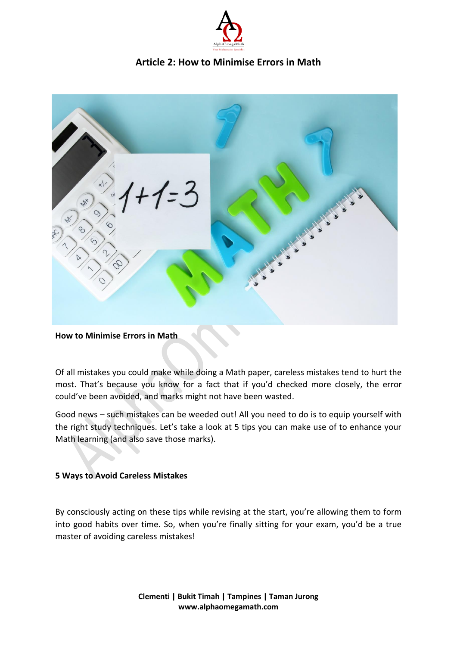

# **Article 2: How to Minimise Errors in Math**



#### **How to Minimise Errors in Math**

Of all mistakes you could make while doing a Math paper, careless mistakes tend to hurt the most. That's because you know for a fact that if you'd checked more closely, the error could've been avoided, and marks might not have been wasted.

Good news – such mistakes can be weeded out! All you need to do is to equip yourself with the right study techniques. Let's take a look at 5 tips you can make use of to enhance your Math learning (and also save those marks).

#### **5 Ways to Avoid Careless Mistakes**

By consciously acting on these tips while revising at the start, you're allowing them to form into good habits over time. So, when you're finally sitting for your exam, you'd be a true master of avoiding careless mistakes!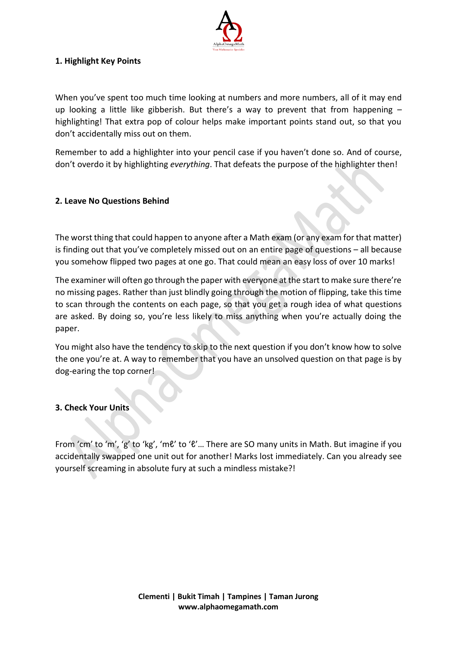

## **1. Highlight Key Points**

When you've spent too much time looking at numbers and more numbers, all of it may end up looking a little like gibberish. But there's a way to prevent that from happening  $$ highlighting! That extra pop of colour helps make important points stand out, so that you don't accidentally miss out on them.

Remember to add a highlighter into your pencil case if you haven't done so. And of course, don't overdo it by highlighting *everything*. That defeats the purpose of the highlighter then!

## **2. Leave No Questions Behind**

The worst thing that could happen to anyone after a Math exam (or any exam for that matter) is finding out that you've completely missed out on an entire page of questions – all because you somehow flipped two pages at one go. That could mean an easy loss of over 10 marks!

The examiner will often go through the paper with everyone at the start to make sure there're no missing pages. Rather than just blindly going through the motion of flipping, take this time to scan through the contents on each page, so that you get a rough idea of what questions are asked. By doing so, you're less likely to miss anything when you're actually doing the paper.

You might also have the tendency to skip to the next question if you don't know how to solve the one you're at. A way to remember that you have an unsolved question on that page is by dog-earing the top corner!

## **3. Check Your Units**

From 'cm' to 'm', 'g' to 'kg', 'mℓ' to 'ℓ'... There are SO many units in Math. But imagine if you accidentally swapped one unit out for another! Marks lost immediately. Can you already see yourself screaming in absolute fury at such a mindless mistake?!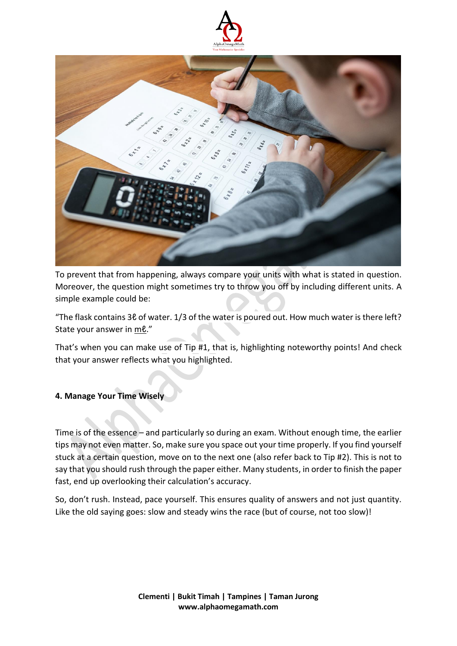



To prevent that from happening, always compare your units with what is stated in question. Moreover, the question might sometimes try to throw you off by including different units. A simple example could be:

"The flask contains 3ℓ of water. 1/3 of the water is poured out. How much water is there left? State your answer in me."

That's when you can make use of Tip #1, that is, highlighting noteworthy points! And check that your answer reflects what you highlighted.

## **4. Manage Your Time Wisely**

Time is of the essence – and particularly so during an exam. Without enough time, the earlier tips may not even matter. So, make sure you space out your time properly. If you find yourself stuck at a certain question, move on to the next one (also refer back to Tip #2). This is not to say that you should rush through the paper either. Many students, in order to finish the paper fast, end up overlooking their calculation's accuracy.

So, don't rush. Instead, pace yourself. This ensures quality of answers and not just quantity. Like the old saying goes: slow and steady wins the race (but of course, not too slow)!